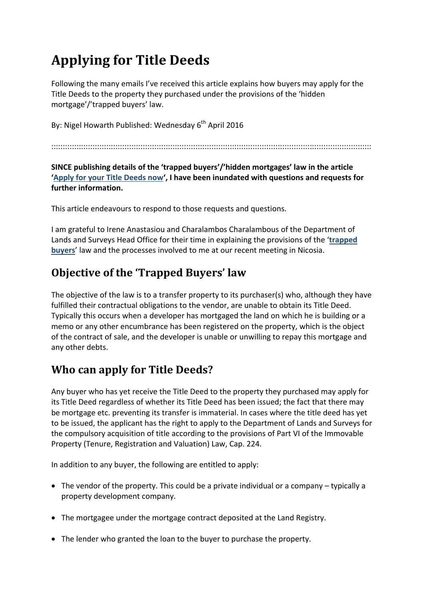# **Applying for Title Deeds**

Following the many emails I've received this article explains how buyers may apply for the Title Deeds to the property they purchased under the provisions of the 'hidden mortgage'/'trapped buyers' law.

By: Nigel Howarth Published: Wednesday  $6<sup>th</sup>$  April 2016

::::::::::::::::::::::::::::::::::::::::::::::::::::::::::::::::::::::::::::::::::::::::::::::::::::::::::::::::::::::::::::::::::::::::::::

#### **SINCE publishing details of the 'trapped buyers'/'hidden mortgages' law in the article 'Apply for your Title Deeds now', I have been inundated with questions and requests for further information.**

This article endeavours to respond to those requests and questions.

I am grateful to Irene Anastasiou and Charalambos Charalambous of the Department of Lands and Surveys Head Office for their time in explaining the provisions of the '**trapped buyers**' law and the processes involved to me at our recent meeting in Nicosia.

# **Objective of the 'Trapped Buyers' law**

The objective of the law is to a transfer property to its purchaser(s) who, although they have fulfilled their contractual obligations to the vendor, are unable to obtain its Title Deed. Typically this occurs when a developer has mortgaged the land on which he is building or a memo or any other encumbrance has been registered on the property, which is the object of the contract of sale, and the developer is unable or unwilling to repay this mortgage and any other debts.

# **Who can apply for Title Deeds?**

Any buyer who has yet receive the Title Deed to the property they purchased may apply for its Title Deed regardless of whether its Title Deed has been issued; the fact that there may be mortgage etc. preventing its transfer is immaterial. In cases where the title deed has yet to be issued, the applicant has the right to apply to the Department of Lands and Surveys for the compulsory acquisition of title according to the provisions of Part VI of the Immovable Property (Tenure, Registration and Valuation) Law, Cap. 224.

In addition to any buyer, the following are entitled to apply:

- The vendor of the property. This could be a private individual or a company typically a property development company.
- The mortgagee under the mortgage contract deposited at the Land Registry.
- The lender who granted the loan to the buyer to purchase the property.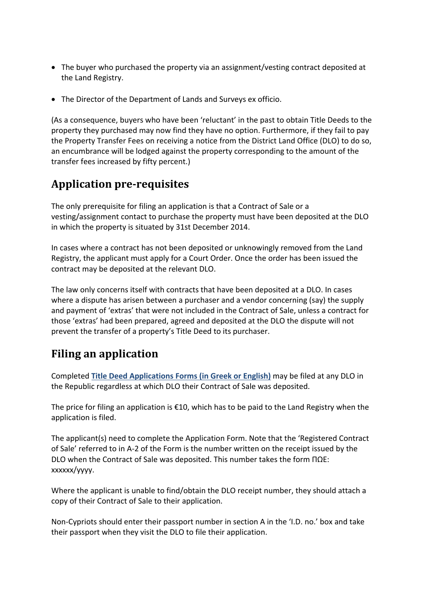- The buyer who purchased the property via an assignment/vesting contract deposited at the Land Registry.
- The Director of the Department of Lands and Surveys ex officio.

(As a consequence, buyers who have been 'reluctant' in the past to obtain Title Deeds to the property they purchased may now find they have no option. Furthermore, if they fail to pay the Property Transfer Fees on receiving a notice from the District Land Office (DLO) to do so, an encumbrance will be lodged against the property corresponding to the amount of the transfer fees increased by fifty percent.)

# **Application pre‐requisites**

The only prerequisite for filing an application is that a Contract of Sale or a vesting/assignment contact to purchase the property must have been deposited at the DLO in which the property is situated by 31st December 2014.

In cases where a contract has not been deposited or unknowingly removed from the Land Registry, the applicant must apply for a Court Order. Once the order has been issued the contract may be deposited at the relevant DLO.

The law only concerns itself with contracts that have been deposited at a DLO. In cases where a dispute has arisen between a purchaser and a vendor concerning (say) the supply and payment of 'extras' that were not included in the Contract of Sale, unless a contract for those 'extras' had been prepared, agreed and deposited at the DLO the dispute will not prevent the transfer of a property's Title Deed to its purchaser.

# **Filing an application**

Completed **Title Deed Applications Forms (in Greek or English)** may be filed at any DLO in the Republic regardless at which DLO their Contract of Sale was deposited.

The price for filing an application is  $\epsilon$ 10, which has to be paid to the Land Registry when the application is filed.

The applicant(s) need to complete the Application Form. Note that the 'Registered Contract of Sale' referred to in A‐2 of the Form is the number written on the receipt issued by the DLO when the Contract of Sale was deposited. This number takes the form ΠΩΕ: xxxxxx/yyyy.

Where the applicant is unable to find/obtain the DLO receipt number, they should attach a copy of their Contract of Sale to their application.

Non‐Cypriots should enter their passport number in section A in the 'I.D. no.' box and take their passport when they visit the DLO to file their application.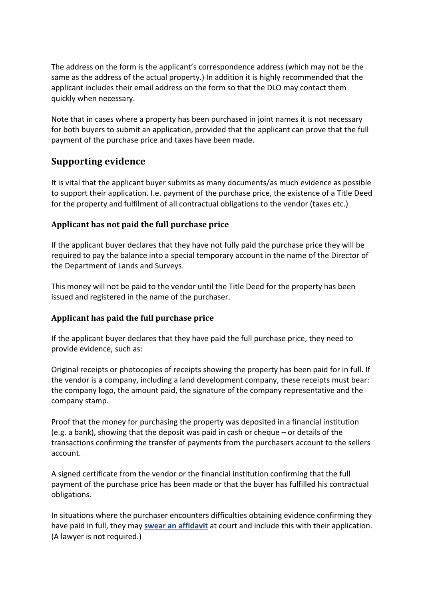The address on the form is the applicant's correspondence address (which may not be the same as the address of the actual property.) In addition it is highly recommended that the applicant includes their email address on the form so that the DLO may contact them quickly when necessary.

Note that in cases where a property has been purchased in joint names it is not necessary for both buyers to submit an application, provided that the applicant can prove that the full payment of the purchase price and taxes have been made.

### **Supporting evidence**

It is vital that the applicant buyer submits as many documents/as much evidence as possible to support their application. I.e. payment of the purchase price, the existence of a Title Deed for the property and fulfilment of all contractual obligations to the vendor (taxes etc.)

#### **Applicant has not paid the full purchase price**

If the applicant buyer declares that they have not fully paid the purchase price they will be required to pay the balance into a special temporary account in the name of the Director of the Department of Lands and Surveys.

This money will not be paid to the vendor until the Title Deed for the property has been issued and registered in the name of the purchaser.

#### **Applicant has paid the full purchase price**

If the applicant buyer declares that they have paid the full purchase price, they need to provide evidence, such as:

Original receipts or photocopies of receipts showing the property has been paid for in full. If the vendor is a company, including a land development company, these receipts must bear: the company logo, the amount paid, the signature of the company representative and the company stamp.

Proof that the money for purchasing the property was deposited in a financial institution (e.g. a bank), showing that the deposit was paid in cash or cheque – or details of the transactions confirming the transfer of payments from the purchasers account to the sellers account.

A signed certificate from the vendor or the financial institution confirming that the full payment of the purchase price has been made or that the buyer has fulfilled his contractual obligations.

In situations where the purchaser encounters difficulties obtaining evidence confirming they have paid in full, they may **swear an affidavit** at court and include this with their application. (A lawyer is not required.)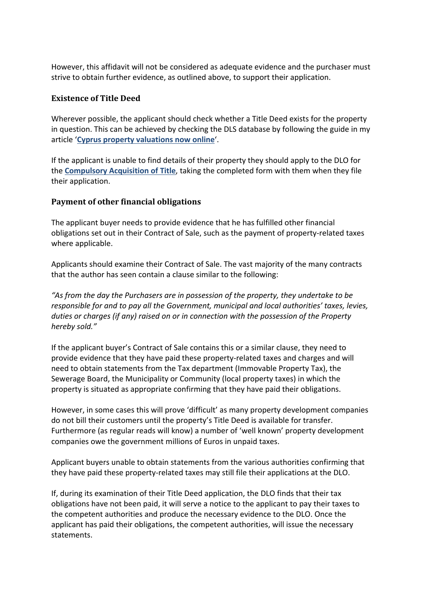However, this affidavit will not be considered as adequate evidence and the purchaser must strive to obtain further evidence, as outlined above, to support their application.

#### **Existence of Title Deed**

Wherever possible, the applicant should check whether a Title Deed exists for the property in question. This can be achieved by checking the DLS database by following the guide in my article '**Cyprus property valuations now online**'.

If the applicant is unable to find details of their property they should apply to the DLO for the **Compulsory Acquisition of Title**, taking the completed form with them when they file their application.

#### **Payment of other financial obligations**

The applicant buyer needs to provide evidence that he has fulfilled other financial obligations set out in their Contract of Sale, such as the payment of property‐related taxes where applicable.

Applicants should examine their Contract of Sale. The vast majority of the many contracts that the author has seen contain a clause similar to the following:

*"As from the day the Purchasers are in possession of the property, they undertake to be responsible for and to pay all the Government, municipal and local authorities' taxes, levies, duties or charges (if any) raised on or in connection with the possession of the Property hereby sold."* 

If the applicant buyer's Contract of Sale contains this or a similar clause, they need to provide evidence that they have paid these property‐related taxes and charges and will need to obtain statements from the Tax department (Immovable Property Tax), the Sewerage Board, the Municipality or Community (local property taxes) in which the property is situated as appropriate confirming that they have paid their obligations.

However, in some cases this will prove 'difficult' as many property development companies do not bill their customers until the property's Title Deed is available for transfer. Furthermore (as regular reads will know) a number of 'well known' property development companies owe the government millions of Euros in unpaid taxes.

Applicant buyers unable to obtain statements from the various authorities confirming that they have paid these property‐related taxes may still file their applications at the DLO.

If, during its examination of their Title Deed application, the DLO finds that their tax obligations have not been paid, it will serve a notice to the applicant to pay their taxes to the competent authorities and produce the necessary evidence to the DLO. Once the applicant has paid their obligations, the competent authorities, will issue the necessary statements.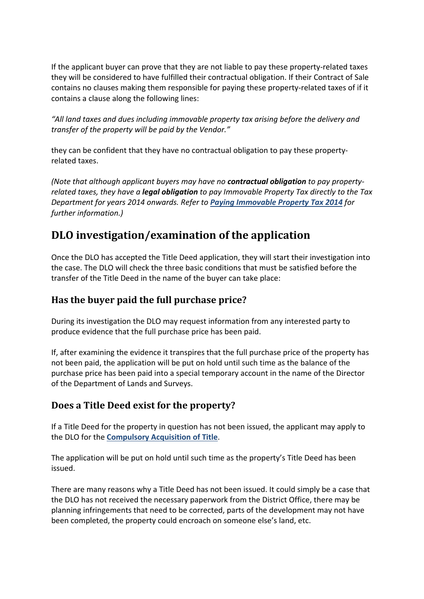If the applicant buyer can prove that they are not liable to pay these property‐related taxes they will be considered to have fulfilled their contractual obligation. If their Contract of Sale contains no clauses making them responsible for paying these property‐related taxes of if it contains a clause along the following lines:

*"All land taxes and dues including immovable property tax arising before the delivery and transfer of the property will be paid by the Vendor."* 

they can be confident that they have no contractual obligation to pay these property‐ related taxes.

*(Note that although applicant buyers may have no contractual obligation to pay property‐ related taxes, they have a legal obligation to pay Immovable Property Tax directly to the Tax Department for years 2014 onwards. Refer to Paying Immovable Property Tax 2014 for further information.)* 

# **DLO investigation/examination of the application**

Once the DLO has accepted the Title Deed application, they will start their investigation into the case. The DLO will check the three basic conditions that must be satisfied before the transfer of the Title Deed in the name of the buyer can take place:

### **Has the buyer paid the full purchase price?**

During its investigation the DLO may request information from any interested party to produce evidence that the full purchase price has been paid.

If, after examining the evidence it transpires that the full purchase price of the property has not been paid, the application will be put on hold until such time as the balance of the purchase price has been paid into a special temporary account in the name of the Director of the Department of Lands and Surveys.

### **Does a Title Deed exist for the property?**

If a Title Deed for the property in question has not been issued, the applicant may apply to the DLO for the **Compulsory Acquisition of Title**.

The application will be put on hold until such time as the property's Title Deed has been issued.

There are many reasons why a Title Deed has not been issued. It could simply be a case that the DLO has not received the necessary paperwork from the District Office, there may be planning infringements that need to be corrected, parts of the development may not have been completed, the property could encroach on someone else's land, etc.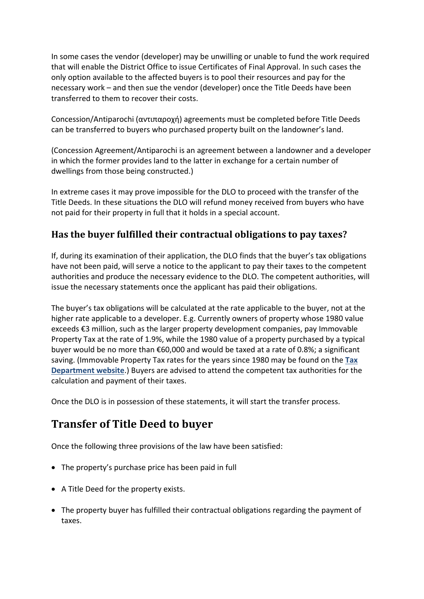In some cases the vendor (developer) may be unwilling or unable to fund the work required that will enable the District Office to issue Certificates of Final Approval. In such cases the only option available to the affected buyers is to pool their resources and pay for the necessary work – and then sue the vendor (developer) once the Title Deeds have been transferred to them to recover their costs.

Concession/Antiparochi (αντιπαροχή) agreements must be completed before Title Deeds can be transferred to buyers who purchased property built on the landowner's land.

(Concession Agreement/Antiparochi is an agreement between a landowner and a developer in which the former provides land to the latter in exchange for a certain number of dwellings from those being constructed.)

In extreme cases it may prove impossible for the DLO to proceed with the transfer of the Title Deeds. In these situations the DLO will refund money received from buyers who have not paid for their property in full that it holds in a special account.

### **Has the buyer fulfilled their contractual obligations to pay taxes?**

If, during its examination of their application, the DLO finds that the buyer's tax obligations have not been paid, will serve a notice to the applicant to pay their taxes to the competent authorities and produce the necessary evidence to the DLO. The competent authorities, will issue the necessary statements once the applicant has paid their obligations.

The buyer's tax obligations will be calculated at the rate applicable to the buyer, not at the higher rate applicable to a developer. E.g. Currently owners of property whose 1980 value exceeds €3 million, such as the larger property development companies, pay Immovable Property Tax at the rate of 1.9%, while the 1980 value of a property purchased by a typical buyer would be no more than €60,000 and would be taxed at a rate of 0.8%; a significant saving. (Immovable Property Tax rates for the years since 1980 may be found on the **Tax Department website**.) Buyers are advised to attend the competent tax authorities for the calculation and payment of their taxes.

Once the DLO is in possession of these statements, it will start the transfer process.

# **Transfer of Title Deed to buyer**

Once the following three provisions of the law have been satisfied:

- The property's purchase price has been paid in full
- A Title Deed for the property exists.
- The property buyer has fulfilled their contractual obligations regarding the payment of taxes.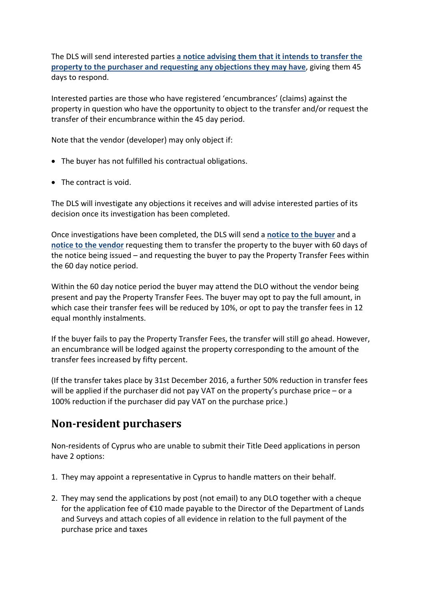The DLS will send interested parties **a notice advising them that it intends to transfer the property to the purchaser and requesting any objections they may have**, giving them 45 days to respond.

Interested parties are those who have registered 'encumbrances' (claims) against the property in question who have the opportunity to object to the transfer and/or request the transfer of their encumbrance within the 45 day period.

Note that the vendor (developer) may only object if:

- The buyer has not fulfilled his contractual obligations.
- The contract is void.

The DLS will investigate any objections it receives and will advise interested parties of its decision once its investigation has been completed.

Once investigations have been completed, the DLS will send a **notice to the buyer** and a **notice to the vendor** requesting them to transfer the property to the buyer with 60 days of the notice being issued – and requesting the buyer to pay the Property Transfer Fees within the 60 day notice period.

Within the 60 day notice period the buyer may attend the DLO without the vendor being present and pay the Property Transfer Fees. The buyer may opt to pay the full amount, in which case their transfer fees will be reduced by 10%, or opt to pay the transfer fees in 12 equal monthly instalments.

If the buyer fails to pay the Property Transfer Fees, the transfer will still go ahead. However, an encumbrance will be lodged against the property corresponding to the amount of the transfer fees increased by fifty percent.

(If the transfer takes place by 31st December 2016, a further 50% reduction in transfer fees will be applied if the purchaser did not pay VAT on the property's purchase price – or a 100% reduction if the purchaser did pay VAT on the purchase price.)

### **Non‐resident purchasers**

Non-residents of Cyprus who are unable to submit their Title Deed applications in person have 2 options:

- 1. They may appoint a representative in Cyprus to handle matters on their behalf.
- 2. They may send the applications by post (not email) to any DLO together with a cheque for the application fee of €10 made payable to the Director of the Department of Lands and Surveys and attach copies of all evidence in relation to the full payment of the purchase price and taxes